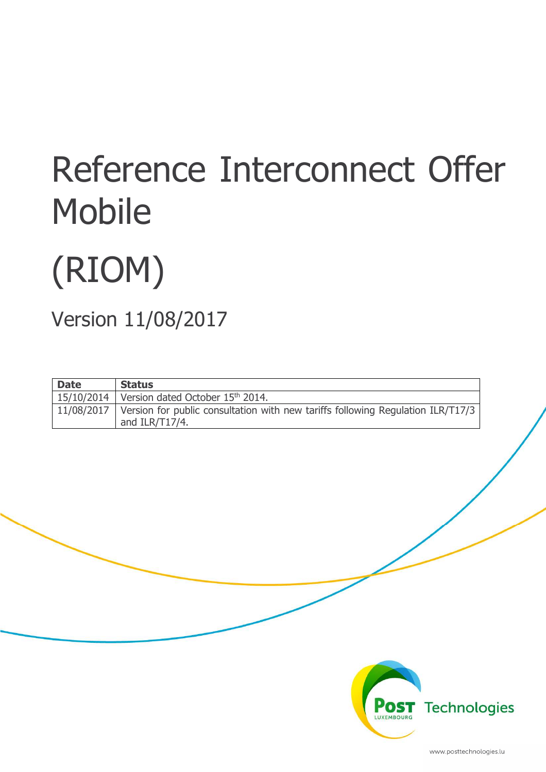# Reference Interconnect Offer Mobile

# (RIOM)

## Version 11/08/2017

| <b>Date</b> | <b>Status</b>                                                                                     |
|-------------|---------------------------------------------------------------------------------------------------|
| 15/10/2014  | Version dated October $15th$ 2014.                                                                |
| 11/08/2017  | Version for public consultation with new tariffs following Regulation ILR/T17/3<br>and ILR/T17/4. |



www.posttechnologies.lu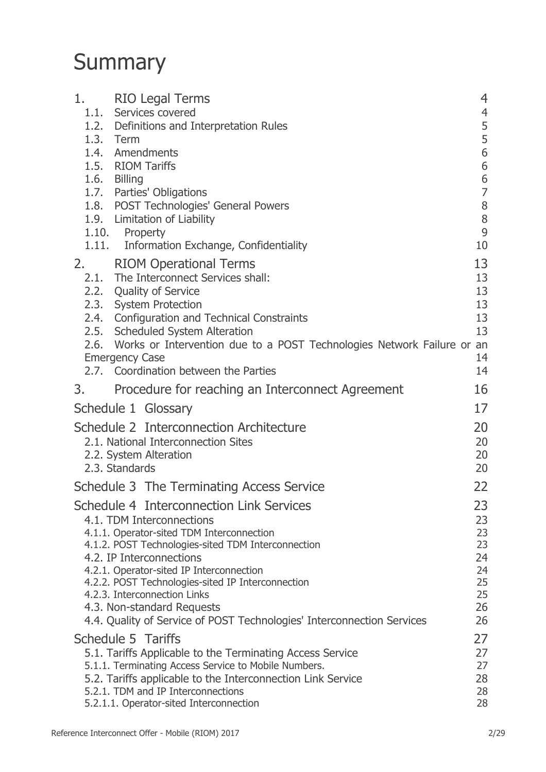## **Summary**

| 1. | RIO Legal Terms                                                                                                   | 4                |
|----|-------------------------------------------------------------------------------------------------------------------|------------------|
|    | 1.1. Services covered                                                                                             | 4                |
|    | 1.2. Definitions and Interpretation Rules<br>1.3. Term                                                            | 5                |
|    | 1.4. Amendments                                                                                                   | $\frac{5}{6}$    |
|    | 1.5. RIOM Tariffs                                                                                                 | $\boldsymbol{6}$ |
|    | 1.6. Billing                                                                                                      | $\frac{6}{7}$    |
|    | 1.7. Parties' Obligations                                                                                         |                  |
|    | 1.8. POST Technologies' General Powers                                                                            | 8                |
|    | 1.9. Limitation of Liability                                                                                      | 8                |
|    | 1.10. Property                                                                                                    | 9                |
|    | 1.11. Information Exchange, Confidentiality                                                                       | 10               |
| 2. | <b>RIOM Operational Terms</b><br>2.1. The Interconnect Services shall:                                            | 13<br>13         |
|    | 2.2. Quality of Service                                                                                           | 13               |
|    | 2.3. System Protection                                                                                            | 13               |
|    | 2.4. Configuration and Technical Constraints                                                                      | 13               |
|    | 2.5. Scheduled System Alteration                                                                                  | 13               |
|    | 2.6. Works or Intervention due to a POST Technologies Network Failure or                                          | an               |
|    | <b>Emergency Case</b>                                                                                             | 14               |
|    | 2.7. Coordination between the Parties                                                                             | 14               |
| 3. | Procedure for reaching an Interconnect Agreement                                                                  | 16               |
|    | Schedule 1 Glossary                                                                                               | 17               |
|    | Schedule 2 Interconnection Architecture                                                                           | 20               |
|    | 2.1. National Interconnection Sites                                                                               | 20               |
|    | 2.2. System Alteration                                                                                            | 20               |
|    | 2.3. Standards                                                                                                    | 20               |
|    | Schedule 3 The Terminating Access Service                                                                         | 22               |
|    | Schedule 4 Interconnection Link Services                                                                          | 23               |
|    | 4.1. TDM Interconnections                                                                                         | 23               |
|    | 4.1.1. Operator-sited TDM Interconnection                                                                         | 23               |
|    | 4.1.2. POST Technologies-sited TDM Interconnection<br>4.2. IP Interconnections                                    | 23<br>24         |
|    | 4.2.1. Operator-sited IP Interconnection                                                                          | 24               |
|    | 4.2.2. POST Technologies-sited IP Interconnection                                                                 | 25               |
|    | 4.2.3. Interconnection Links                                                                                      | 25               |
|    | 4.3. Non-standard Requests                                                                                        | 26               |
|    | 4.4. Quality of Service of POST Technologies' Interconnection Services                                            | 26               |
|    | Schedule 5 Tariffs                                                                                                | 27               |
|    | 5.1. Tariffs Applicable to the Terminating Access Service<br>5.1.1. Terminating Access Service to Mobile Numbers. | 27<br>27         |
|    | 5.2. Tariffs applicable to the Interconnection Link Service                                                       | 28               |
|    | 5.2.1. TDM and IP Interconnections                                                                                | 28               |
|    | 5.2.1.1. Operator-sited Interconnection                                                                           | 28               |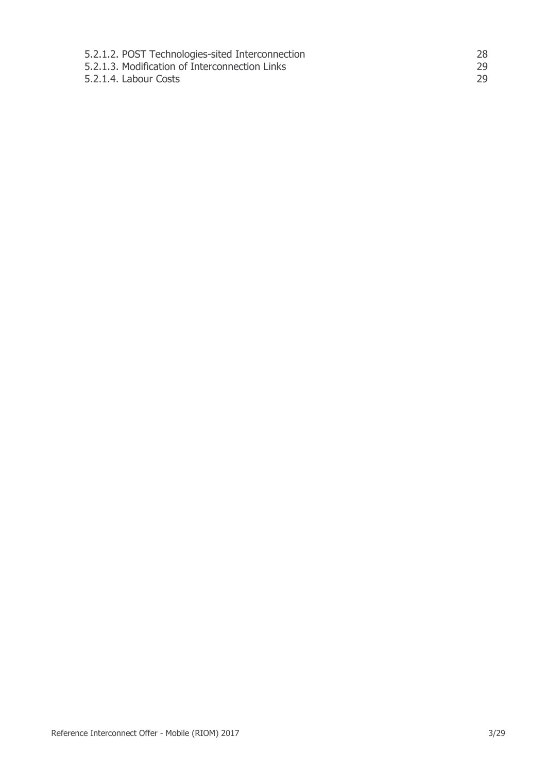| 5.2.1.2. POST Technologies-sited Interconnection |    |
|--------------------------------------------------|----|
| 5.2.1.3. Modification of Interconnection Links   | 29 |
| 5.2.1.4. Labour Costs                            | 29 |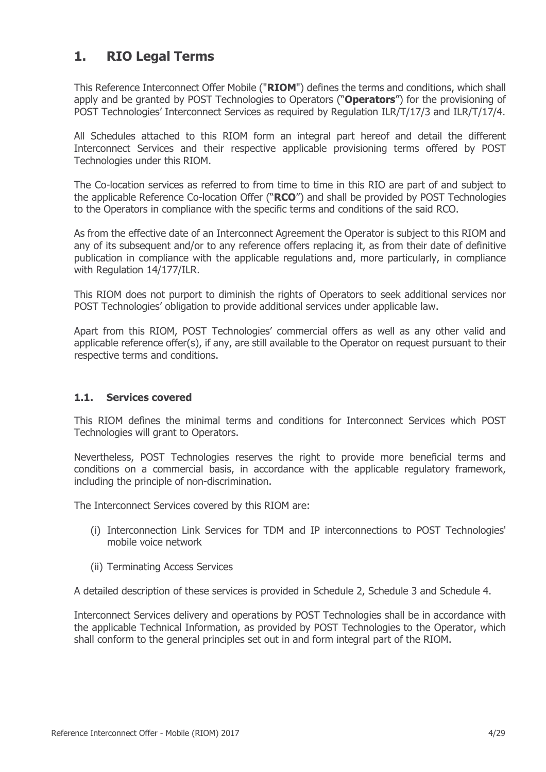## **1. RIO Legal Terms**

This Reference Interconnect Offer Mobile ("**RIOM**") defines the terms and conditions, which shall apply and be granted by POST Technologies to Operators ("**Operators**") for the provisioning of POST Technologies' Interconnect Services as required by Regulation ILR/T/17/3 and ILR/T/17/4.

All Schedules attached to this RIOM form an integral part hereof and detail the different Interconnect Services and their respective applicable provisioning terms offered by POST Technologies under this RIOM.

The Co-location services as referred to from time to time in this RIO are part of and subject to the applicable Reference Co-location Offer ("**RCO**") and shall be provided by POST Technologies to the Operators in compliance with the specific terms and conditions of the said RCO.

As from the effective date of an Interconnect Agreement the Operator is subject to this RIOM and any of its subsequent and/or to any reference offers replacing it, as from their date of definitive publication in compliance with the applicable regulations and, more particularly, in compliance with Regulation 14/177/ILR.

This RIOM does not purport to diminish the rights of Operators to seek additional services nor POST Technologies' obligation to provide additional services under applicable law.

Apart from this RIOM, POST Technologies' commercial offers as well as any other valid and applicable reference offer(s), if any, are still available to the Operator on request pursuant to their respective terms and conditions.

## **1.1. Services covered**

This RIOM defines the minimal terms and conditions for Interconnect Services which POST Technologies will grant to Operators.

Nevertheless, POST Technologies reserves the right to provide more beneficial terms and conditions on a commercial basis, in accordance with the applicable regulatory framework, including the principle of non-discrimination.

The Interconnect Services covered by this RIOM are:

- (i) Interconnection Link Services for TDM and IP interconnections to POST Technologies' mobile voice network
- (ii) Terminating Access Services

A detailed description of these services is provided in Schedule 2, Schedule 3 and Schedule 4.

Interconnect Services delivery and operations by POST Technologies shall be in accordance with the applicable Technical Information, as provided by POST Technologies to the Operator, which shall conform to the general principles set out in and form integral part of the RIOM.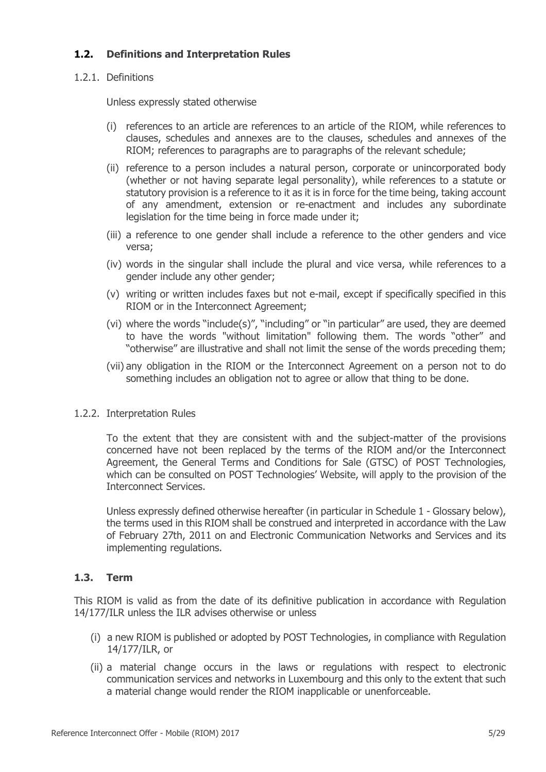## **1.2. Definitions and Interpretation Rules**

## 1.2.1. Definitions

Unless expressly stated otherwise

- (i) references to an article are references to an article of the RIOM, while references to clauses, schedules and annexes are to the clauses, schedules and annexes of the RIOM; references to paragraphs are to paragraphs of the relevant schedule;
- (ii) reference to a person includes a natural person, corporate or unincorporated body (whether or not having separate legal personality), while references to a statute or statutory provision is a reference to it as it is in force for the time being, taking account of any amendment, extension or re-enactment and includes any subordinate legislation for the time being in force made under it;
- (iii) a reference to one gender shall include a reference to the other genders and vice versa;
- (iv) words in the singular shall include the plural and vice versa, while references to a gender include any other gender;
- (v) writing or written includes faxes but not e-mail, except if specifically specified in this RIOM or in the Interconnect Agreement;
- (vi) where the words "include(s)", "including" or "in particular" are used, they are deemed to have the words "without limitation" following them. The words "other" and "otherwise" are illustrative and shall not limit the sense of the words preceding them;
- (vii) any obligation in the RIOM or the Interconnect Agreement on a person not to do something includes an obligation not to agree or allow that thing to be done.

#### 1.2.2. Interpretation Rules

To the extent that they are consistent with and the subject-matter of the provisions concerned have not been replaced by the terms of the RIOM and/or the Interconnect Agreement, the General Terms and Conditions for Sale (GTSC) of POST Technologies, which can be consulted on POST Technologies' Website, will apply to the provision of the Interconnect Services.

Unless expressly defined otherwise hereafter (in particular in Schedule 1 - Glossary below), the terms used in this RIOM shall be construed and interpreted in accordance with the Law of February 27th, 2011 on and Electronic Communication Networks and Services and its implementing regulations.

## **1.3. Term**

This RIOM is valid as from the date of its definitive publication in accordance with Regulation 14/177/ILR unless the ILR advises otherwise or unless

- (i) a new RIOM is published or adopted by POST Technologies, in compliance with Regulation 14/177/ILR, or
- (ii) a material change occurs in the laws or regulations with respect to electronic communication services and networks in Luxembourg and this only to the extent that such a material change would render the RIOM inapplicable or unenforceable.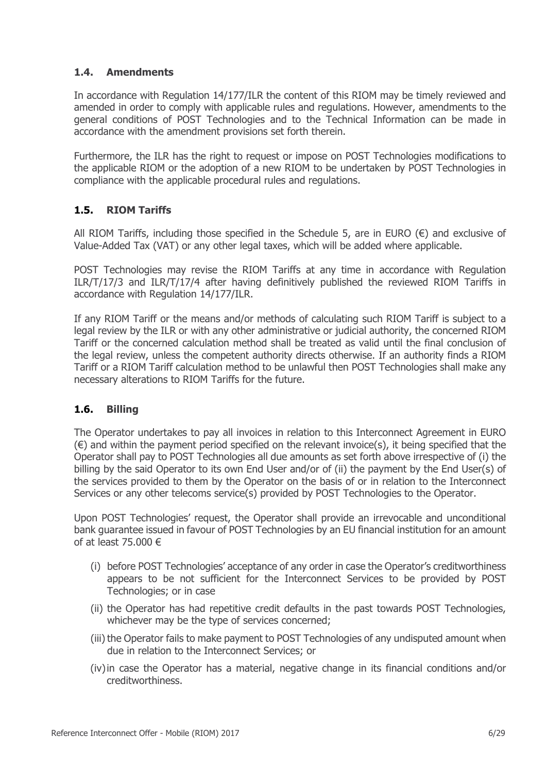## **1.4. Amendments**

In accordance with Regulation 14/177/ILR the content of this RIOM may be timely reviewed and amended in order to comply with applicable rules and regulations. However, amendments to the general conditions of POST Technologies and to the Technical Information can be made in accordance with the amendment provisions set forth therein.

Furthermore, the ILR has the right to request or impose on POST Technologies modifications to the applicable RIOM or the adoption of a new RIOM to be undertaken by POST Technologies in compliance with the applicable procedural rules and regulations.

## **1.5. RIOM Tariffs**

All RIOM Tariffs, including those specified in the Schedule 5, are in EURO  $(\epsilon)$  and exclusive of Value-Added Tax (VAT) or any other legal taxes, which will be added where applicable.

POST Technologies may revise the RIOM Tariffs at any time in accordance with Regulation ILR/T/17/3 and ILR/T/17/4 after having definitively published the reviewed RIOM Tariffs in accordance with Regulation 14/177/ILR.

If any RIOM Tariff or the means and/or methods of calculating such RIOM Tariff is subject to a legal review by the ILR or with any other administrative or judicial authority, the concerned RIOM Tariff or the concerned calculation method shall be treated as valid until the final conclusion of the legal review, unless the competent authority directs otherwise. If an authority finds a RIOM Tariff or a RIOM Tariff calculation method to be unlawful then POST Technologies shall make any necessary alterations to RIOM Tariffs for the future.

## **1.6. Billing**

The Operator undertakes to pay all invoices in relation to this Interconnect Agreement in EURO  $(\epsilon)$  and within the payment period specified on the relevant invoice(s), it being specified that the Operator shall pay to POST Technologies all due amounts as set forth above irrespective of (i) the billing by the said Operator to its own End User and/or of (ii) the payment by the End User(s) of the services provided to them by the Operator on the basis of or in relation to the Interconnect Services or any other telecoms service(s) provided by POST Technologies to the Operator.

Upon POST Technologies' request, the Operator shall provide an irrevocable and unconditional bank guarantee issued in favour of POST Technologies by an EU financial institution for an amount of at least 75.000 €

- (i) before POST Technologies' acceptance of any order in case the Operator's creditworthiness appears to be not sufficient for the Interconnect Services to be provided by POST Technologies; or in case
- (ii) the Operator has had repetitive credit defaults in the past towards POST Technologies, whichever may be the type of services concerned;
- (iii) the Operator fails to make payment to POST Technologies of any undisputed amount when due in relation to the Interconnect Services; or
- (iv)in case the Operator has a material, negative change in its financial conditions and/or creditworthiness.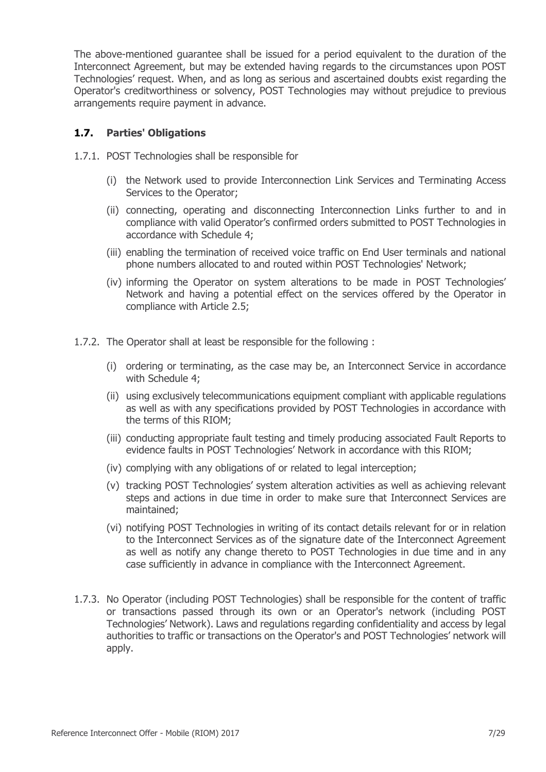The above-mentioned guarantee shall be issued for a period equivalent to the duration of the Interconnect Agreement, but may be extended having regards to the circumstances upon POST Technologies' request. When, and as long as serious and ascertained doubts exist regarding the Operator's creditworthiness or solvency, POST Technologies may without prejudice to previous arrangements require payment in advance.

## **1.7. Parties' Obligations**

- 1.7.1. POST Technologies shall be responsible for
	- (i) the Network used to provide Interconnection Link Services and Terminating Access Services to the Operator;
	- (ii) connecting, operating and disconnecting Interconnection Links further to and in compliance with valid Operator's confirmed orders submitted to POST Technologies in accordance with Schedule 4;
	- (iii) enabling the termination of received voice traffic on End User terminals and national phone numbers allocated to and routed within POST Technologies' Network;
	- (iv) informing the Operator on system alterations to be made in POST Technologies' Network and having a potential effect on the services offered by the Operator in compliance with Article 2.5;
- 1.7.2. The Operator shall at least be responsible for the following :
	- (i) ordering or terminating, as the case may be, an Interconnect Service in accordance with Schedule 4;
	- (ii) using exclusively telecommunications equipment compliant with applicable regulations as well as with any specifications provided by POST Technologies in accordance with the terms of this RIOM;
	- (iii) conducting appropriate fault testing and timely producing associated Fault Reports to evidence faults in POST Technologies' Network in accordance with this RIOM;
	- (iv) complying with any obligations of or related to legal interception;
	- (v) tracking POST Technologies' system alteration activities as well as achieving relevant steps and actions in due time in order to make sure that Interconnect Services are maintained;
	- (vi) notifying POST Technologies in writing of its contact details relevant for or in relation to the Interconnect Services as of the signature date of the Interconnect Agreement as well as notify any change thereto to POST Technologies in due time and in any case sufficiently in advance in compliance with the Interconnect Agreement.
- 1.7.3. No Operator (including POST Technologies) shall be responsible for the content of traffic or transactions passed through its own or an Operator's network (including POST Technologies' Network). Laws and regulations regarding confidentiality and access by legal authorities to traffic or transactions on the Operator's and POST Technologies' network will apply.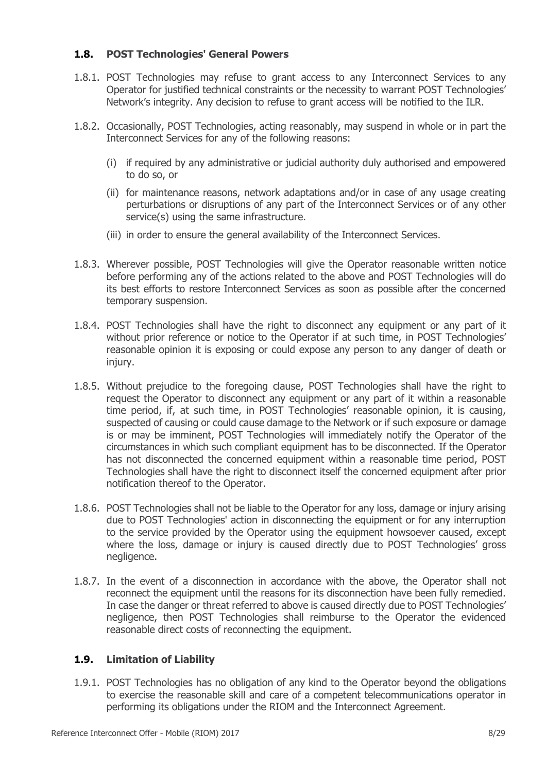## **1.8. POST Technologies' General Powers**

- 1.8.1. POST Technologies may refuse to grant access to any Interconnect Services to any Operator for justified technical constraints or the necessity to warrant POST Technologies' Network's integrity. Any decision to refuse to grant access will be notified to the ILR.
- 1.8.2. Occasionally, POST Technologies, acting reasonably, may suspend in whole or in part the Interconnect Services for any of the following reasons:
	- (i) if required by any administrative or judicial authority duly authorised and empowered to do so, or
	- (ii) for maintenance reasons, network adaptations and/or in case of any usage creating perturbations or disruptions of any part of the Interconnect Services or of any other service(s) using the same infrastructure.
	- (iii) in order to ensure the general availability of the Interconnect Services.
- 1.8.3. Wherever possible, POST Technologies will give the Operator reasonable written notice before performing any of the actions related to the above and POST Technologies will do its best efforts to restore Interconnect Services as soon as possible after the concerned temporary suspension.
- 1.8.4. POST Technologies shall have the right to disconnect any equipment or any part of it without prior reference or notice to the Operator if at such time, in POST Technologies' reasonable opinion it is exposing or could expose any person to any danger of death or injury.
- 1.8.5. Without prejudice to the foregoing clause, POST Technologies shall have the right to request the Operator to disconnect any equipment or any part of it within a reasonable time period, if, at such time, in POST Technologies' reasonable opinion, it is causing, suspected of causing or could cause damage to the Network or if such exposure or damage is or may be imminent, POST Technologies will immediately notify the Operator of the circumstances in which such compliant equipment has to be disconnected. If the Operator has not disconnected the concerned equipment within a reasonable time period, POST Technologies shall have the right to disconnect itself the concerned equipment after prior notification thereof to the Operator.
- 1.8.6. POST Technologies shall not be liable to the Operator for any loss, damage or injury arising due to POST Technologies' action in disconnecting the equipment or for any interruption to the service provided by the Operator using the equipment howsoever caused, except where the loss, damage or injury is caused directly due to POST Technologies' gross negligence.
- 1.8.7. In the event of a disconnection in accordance with the above, the Operator shall not reconnect the equipment until the reasons for its disconnection have been fully remedied. In case the danger or threat referred to above is caused directly due to POST Technologies' negligence, then POST Technologies shall reimburse to the Operator the evidenced reasonable direct costs of reconnecting the equipment.

## **1.9. Limitation of Liability**

1.9.1. POST Technologies has no obligation of any kind to the Operator beyond the obligations to exercise the reasonable skill and care of a competent telecommunications operator in performing its obligations under the RIOM and the Interconnect Agreement.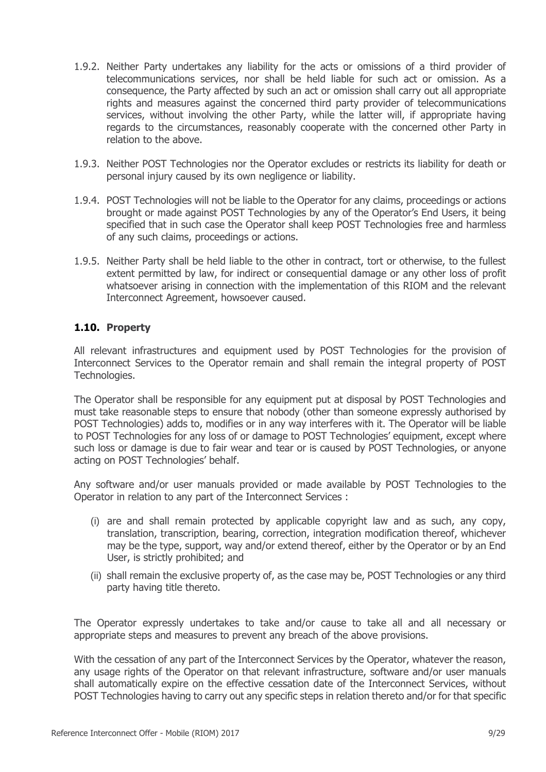- 1.9.2. Neither Party undertakes any liability for the acts or omissions of a third provider of telecommunications services, nor shall be held liable for such act or omission. As a consequence, the Party affected by such an act or omission shall carry out all appropriate rights and measures against the concerned third party provider of telecommunications services, without involving the other Party, while the latter will, if appropriate having regards to the circumstances, reasonably cooperate with the concerned other Party in relation to the above.
- 1.9.3. Neither POST Technologies nor the Operator excludes or restricts its liability for death or personal injury caused by its own negligence or liability.
- 1.9.4. POST Technologies will not be liable to the Operator for any claims, proceedings or actions brought or made against POST Technologies by any of the Operator's End Users, it being specified that in such case the Operator shall keep POST Technologies free and harmless of any such claims, proceedings or actions.
- 1.9.5. Neither Party shall be held liable to the other in contract, tort or otherwise, to the fullest extent permitted by law, for indirect or consequential damage or any other loss of profit whatsoever arising in connection with the implementation of this RIOM and the relevant Interconnect Agreement, howsoever caused.

## **1.10. Property**

All relevant infrastructures and equipment used by POST Technologies for the provision of Interconnect Services to the Operator remain and shall remain the integral property of POST Technologies.

The Operator shall be responsible for any equipment put at disposal by POST Technologies and must take reasonable steps to ensure that nobody (other than someone expressly authorised by POST Technologies) adds to, modifies or in any way interferes with it. The Operator will be liable to POST Technologies for any loss of or damage to POST Technologies' equipment, except where such loss or damage is due to fair wear and tear or is caused by POST Technologies, or anyone acting on POST Technologies' behalf.

Any software and/or user manuals provided or made available by POST Technologies to the Operator in relation to any part of the Interconnect Services :

- (i) are and shall remain protected by applicable copyright law and as such, any copy, translation, transcription, bearing, correction, integration modification thereof, whichever may be the type, support, way and/or extend thereof, either by the Operator or by an End User, is strictly prohibited; and
- (ii) shall remain the exclusive property of, as the case may be, POST Technologies or any third party having title thereto.

The Operator expressly undertakes to take and/or cause to take all and all necessary or appropriate steps and measures to prevent any breach of the above provisions.

With the cessation of any part of the Interconnect Services by the Operator, whatever the reason, any usage rights of the Operator on that relevant infrastructure, software and/or user manuals shall automatically expire on the effective cessation date of the Interconnect Services, without POST Technologies having to carry out any specific steps in relation thereto and/or for that specific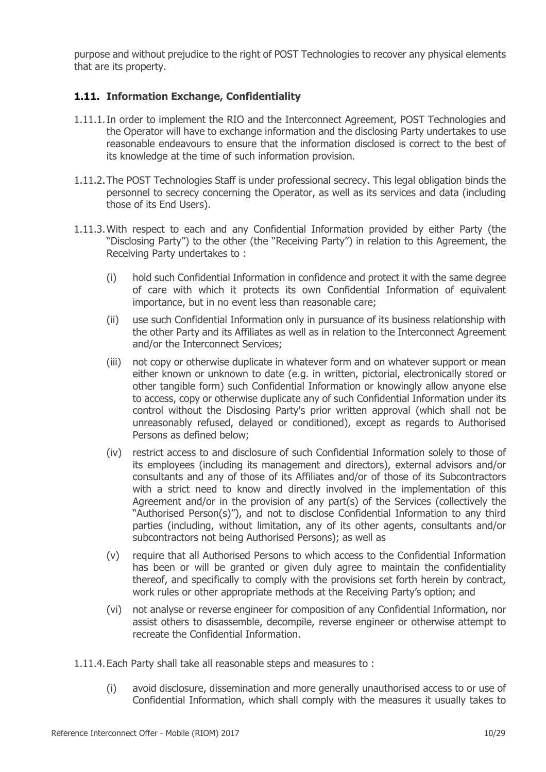purpose and without prejudice to the right of POST Technologies to recover any physical elements that are its property.

## **1.11. Information Exchange, Confidentiality**

- 1.11.1.In order to implement the RIO and the Interconnect Agreement, POST Technologies and the Operator will have to exchange information and the disclosing Party undertakes to use reasonable endeavours to ensure that the information disclosed is correct to the best of its knowledge at the time of such information provision.
- 1.11.2.The POST Technologies Staff is under professional secrecy. This legal obligation binds the personnel to secrecy concerning the Operator, as well as its services and data (including those of its End Users).
- 1.11.3.With respect to each and any Confidential Information provided by either Party (the "Disclosing Party") to the other (the "Receiving Party") in relation to this Agreement, the Receiving Party undertakes to :
	- (i) hold such Confidential Information in confidence and protect it with the same degree of care with which it protects its own Confidential Information of equivalent importance, but in no event less than reasonable care;
	- (ii) use such Confidential Information only in pursuance of its business relationship with the other Party and its Affiliates as well as in relation to the Interconnect Agreement and/or the Interconnect Services;
	- (iii) not copy or otherwise duplicate in whatever form and on whatever support or mean either known or unknown to date (e.g. in written, pictorial, electronically stored or other tangible form) such Confidential Information or knowingly allow anyone else to access, copy or otherwise duplicate any of such Confidential Information under its control without the Disclosing Party's prior written approval (which shall not be unreasonably refused, delayed or conditioned), except as regards to Authorised Persons as defined below;
	- (iv) restrict access to and disclosure of such Confidential Information solely to those of its employees (including its management and directors), external advisors and/or consultants and any of those of its Affiliates and/or of those of its Subcontractors with a strict need to know and directly involved in the implementation of this Agreement and/or in the provision of any part(s) of the Services (collectively the "Authorised Person(s)"), and not to disclose Confidential Information to any third parties (including, without limitation, any of its other agents, consultants and/or subcontractors not being Authorised Persons); as well as
	- (v) require that all Authorised Persons to which access to the Confidential Information has been or will be granted or given duly agree to maintain the confidentiality thereof, and specifically to comply with the provisions set forth herein by contract, work rules or other appropriate methods at the Receiving Party's option; and
	- (vi) not analyse or reverse engineer for composition of any Confidential Information, nor assist others to disassemble, decompile, reverse engineer or otherwise attempt to recreate the Confidential Information.
- 1.11.4.Each Party shall take all reasonable steps and measures to :
	- (i) avoid disclosure, dissemination and more generally unauthorised access to or use of Confidential Information, which shall comply with the measures it usually takes to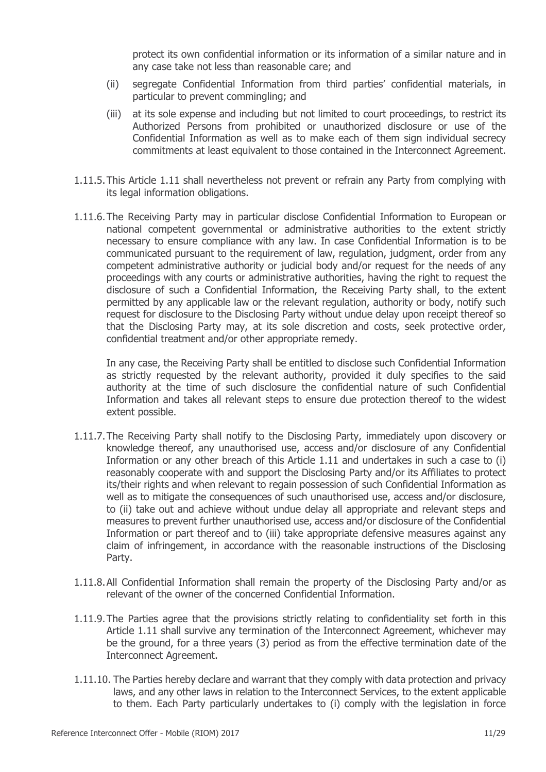protect its own confidential information or its information of a similar nature and in any case take not less than reasonable care; and

- (ii) segregate Confidential Information from third parties' confidential materials, in particular to prevent commingling; and
- (iii) at its sole expense and including but not limited to court proceedings, to restrict its Authorized Persons from prohibited or unauthorized disclosure or use of the Confidential Information as well as to make each of them sign individual secrecy commitments at least equivalent to those contained in the Interconnect Agreement.
- 1.11.5.This Article 1.11 shall nevertheless not prevent or refrain any Party from complying with its legal information obligations.
- 1.11.6.The Receiving Party may in particular disclose Confidential Information to European or national competent governmental or administrative authorities to the extent strictly necessary to ensure compliance with any law. In case Confidential Information is to be communicated pursuant to the requirement of law, regulation, judgment, order from any competent administrative authority or judicial body and/or request for the needs of any proceedings with any courts or administrative authorities, having the right to request the disclosure of such a Confidential Information, the Receiving Party shall, to the extent permitted by any applicable law or the relevant regulation, authority or body, notify such request for disclosure to the Disclosing Party without undue delay upon receipt thereof so that the Disclosing Party may, at its sole discretion and costs, seek protective order, confidential treatment and/or other appropriate remedy.

In any case, the Receiving Party shall be entitled to disclose such Confidential Information as strictly requested by the relevant authority, provided it duly specifies to the said authority at the time of such disclosure the confidential nature of such Confidential Information and takes all relevant steps to ensure due protection thereof to the widest extent possible.

- 1.11.7.The Receiving Party shall notify to the Disclosing Party, immediately upon discovery or knowledge thereof, any unauthorised use, access and/or disclosure of any Confidential Information or any other breach of this Article 1.11 and undertakes in such a case to (i) reasonably cooperate with and support the Disclosing Party and/or its Affiliates to protect its/their rights and when relevant to regain possession of such Confidential Information as well as to mitigate the consequences of such unauthorised use, access and/or disclosure, to (ii) take out and achieve without undue delay all appropriate and relevant steps and measures to prevent further unauthorised use, access and/or disclosure of the Confidential Information or part thereof and to (iii) take appropriate defensive measures against any claim of infringement, in accordance with the reasonable instructions of the Disclosing Party.
- 1.11.8.All Confidential Information shall remain the property of the Disclosing Party and/or as relevant of the owner of the concerned Confidential Information.
- 1.11.9.The Parties agree that the provisions strictly relating to confidentiality set forth in this Article 1.11 shall survive any termination of the Interconnect Agreement, whichever may be the ground, for a three years (3) period as from the effective termination date of the Interconnect Agreement.
- 1.11.10. The Parties hereby declare and warrant that they comply with data protection and privacy laws, and any other laws in relation to the Interconnect Services, to the extent applicable to them. Each Party particularly undertakes to (i) comply with the legislation in force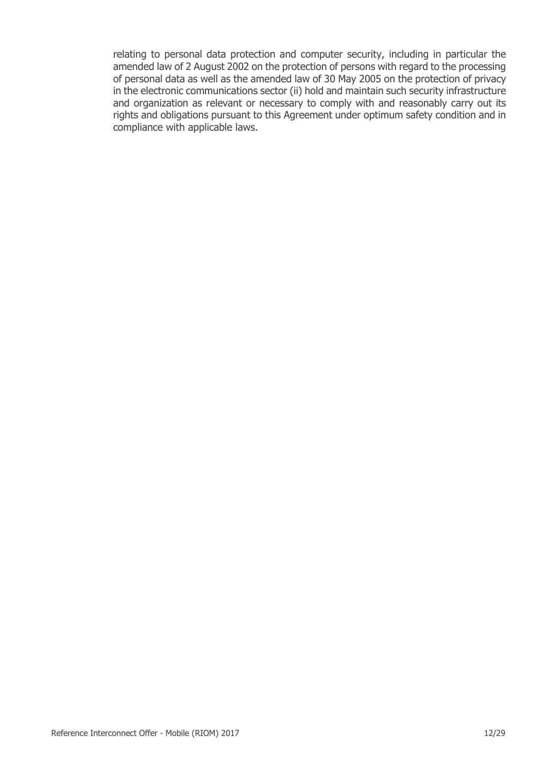relating to personal data protection and computer security, including in particular the amended law of 2 August 2002 on the protection of persons with regard to the processing of personal data as well as the amended law of 30 May 2005 on the protection of privacy in the electronic communications sector (ii) hold and maintain such security infrastructure and organization as relevant or necessary to comply with and reasonably carry out its rights and obligations pursuant to this Agreement under optimum safety condition and in compliance with applicable laws.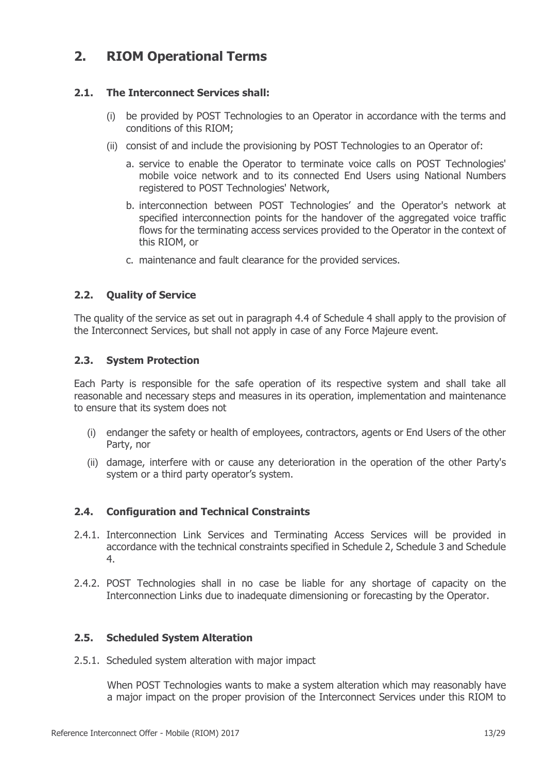## **2. RIOM Operational Terms**

## **2.1. The Interconnect Services shall:**

- (i) be provided by POST Technologies to an Operator in accordance with the terms and conditions of this RIOM;
- (ii) consist of and include the provisioning by POST Technologies to an Operator of:
	- a. service to enable the Operator to terminate voice calls on POST Technologies' mobile voice network and to its connected End Users using National Numbers registered to POST Technologies' Network,
	- b. interconnection between POST Technologies' and the Operator's network at specified interconnection points for the handover of the aggregated voice traffic flows for the terminating access services provided to the Operator in the context of this RIOM, or
	- c. maintenance and fault clearance for the provided services.

## **2.2. Quality of Service**

The quality of the service as set out in paragraph 4.4 of Schedule 4 shall apply to the provision of the Interconnect Services, but shall not apply in case of any Force Majeure event.

#### **2.3. System Protection**

Each Party is responsible for the safe operation of its respective system and shall take all reasonable and necessary steps and measures in its operation, implementation and maintenance to ensure that its system does not

- (i) endanger the safety or health of employees, contractors, agents or End Users of the other Party, nor
- (ii) damage, interfere with or cause any deterioration in the operation of the other Party's system or a third party operator's system.

## **2.4. Configuration and Technical Constraints**

- 2.4.1. Interconnection Link Services and Terminating Access Services will be provided in accordance with the technical constraints specified in Schedule 2, Schedule 3 and Schedule 4.
- 2.4.2. POST Technologies shall in no case be liable for any shortage of capacity on the Interconnection Links due to inadequate dimensioning or forecasting by the Operator.

## **2.5. Scheduled System Alteration**

2.5.1. Scheduled system alteration with major impact

When POST Technologies wants to make a system alteration which may reasonably have a major impact on the proper provision of the Interconnect Services under this RIOM to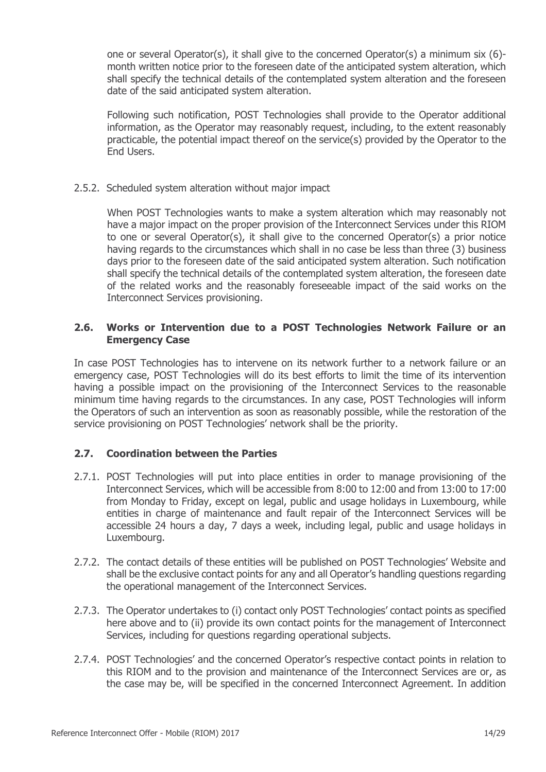one or several Operator(s), it shall give to the concerned Operator(s) a minimum six (6)month written notice prior to the foreseen date of the anticipated system alteration, which shall specify the technical details of the contemplated system alteration and the foreseen date of the said anticipated system alteration.

Following such notification, POST Technologies shall provide to the Operator additional information, as the Operator may reasonably request, including, to the extent reasonably practicable, the potential impact thereof on the service(s) provided by the Operator to the End Users.

#### 2.5.2. Scheduled system alteration without major impact

When POST Technologies wants to make a system alteration which may reasonably not have a major impact on the proper provision of the Interconnect Services under this RIOM to one or several Operator(s), it shall give to the concerned Operator(s) a prior notice having regards to the circumstances which shall in no case be less than three (3) business days prior to the foreseen date of the said anticipated system alteration. Such notification shall specify the technical details of the contemplated system alteration, the foreseen date of the related works and the reasonably foreseeable impact of the said works on the Interconnect Services provisioning.

#### **2.6. Works or Intervention due to a POST Technologies Network Failure or an Emergency Case**

In case POST Technologies has to intervene on its network further to a network failure or an emergency case, POST Technologies will do its best efforts to limit the time of its intervention having a possible impact on the provisioning of the Interconnect Services to the reasonable minimum time having regards to the circumstances. In any case, POST Technologies will inform the Operators of such an intervention as soon as reasonably possible, while the restoration of the service provisioning on POST Technologies' network shall be the priority.

## **2.7. Coordination between the Parties**

- 2.7.1. POST Technologies will put into place entities in order to manage provisioning of the Interconnect Services, which will be accessible from 8:00 to 12:00 and from 13:00 to 17:00 from Monday to Friday, except on legal, public and usage holidays in Luxembourg, while entities in charge of maintenance and fault repair of the Interconnect Services will be accessible 24 hours a day, 7 days a week, including legal, public and usage holidays in Luxembourg.
- 2.7.2. The contact details of these entities will be published on POST Technologies' Website and shall be the exclusive contact points for any and all Operator's handling questions regarding the operational management of the Interconnect Services.
- 2.7.3. The Operator undertakes to (i) contact only POST Technologies' contact points as specified here above and to (ii) provide its own contact points for the management of Interconnect Services, including for questions regarding operational subjects.
- 2.7.4. POST Technologies' and the concerned Operator's respective contact points in relation to this RIOM and to the provision and maintenance of the Interconnect Services are or, as the case may be, will be specified in the concerned Interconnect Agreement. In addition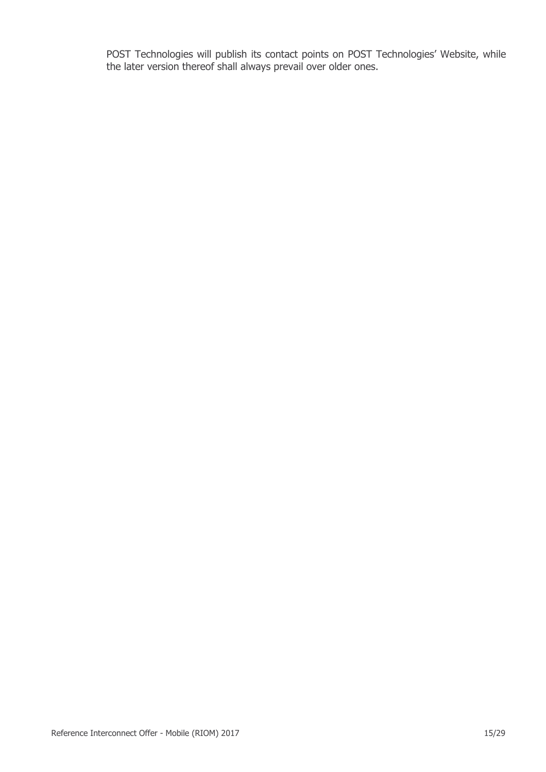POST Technologies will publish its contact points on POST Technologies' Website, while the later version thereof shall always prevail over older ones.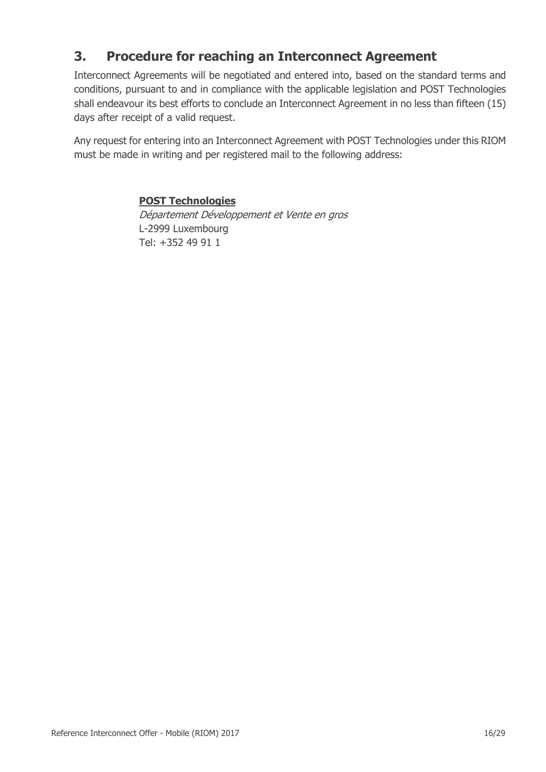## **3. Procedure for reaching an Interconnect Agreement**

Interconnect Agreements will be negotiated and entered into, based on the standard terms and conditions, pursuant to and in compliance with the applicable legislation and POST Technologies shall endeavour its best efforts to conclude an Interconnect Agreement in no less than fifteen (15) days after receipt of a valid request.

Any request for entering into an Interconnect Agreement with POST Technologies under this RIOM must be made in writing and per registered mail to the following address:

## **POST Technologies**

Département Développement et Vente en gros L-2999 Luxembourg Tel: +352 49 91 1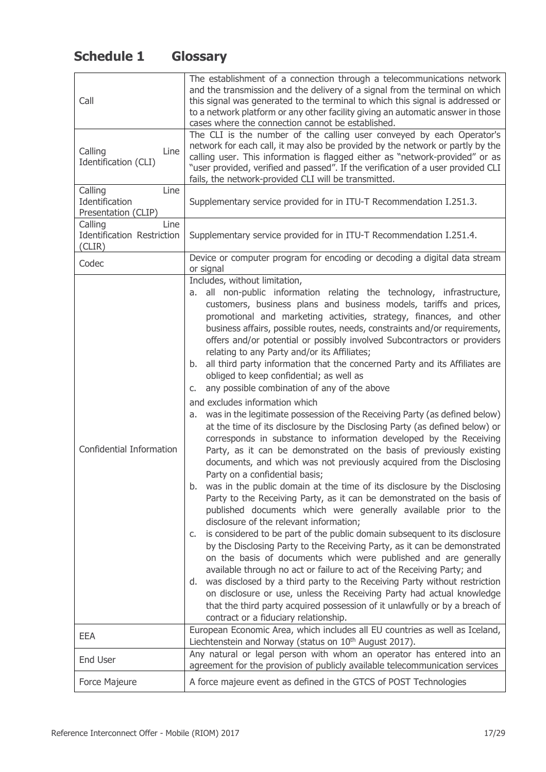## **Schedule 1 Glossary**

| Call                                                           | The establishment of a connection through a telecommunications network<br>and the transmission and the delivery of a signal from the terminal on which<br>this signal was generated to the terminal to which this signal is addressed or<br>to a network platform or any other facility giving an automatic answer in those<br>cases where the connection cannot be established.                                                                                                                                                                                                                                                                                                                                                                                                                                                                                                                                                                                                                                                                                                                                                                                                                                                                                                                                                                                                                                                                                                                                                                                                                                                                                                                                                                                                                                                                                                                                                                                                                 |
|----------------------------------------------------------------|--------------------------------------------------------------------------------------------------------------------------------------------------------------------------------------------------------------------------------------------------------------------------------------------------------------------------------------------------------------------------------------------------------------------------------------------------------------------------------------------------------------------------------------------------------------------------------------------------------------------------------------------------------------------------------------------------------------------------------------------------------------------------------------------------------------------------------------------------------------------------------------------------------------------------------------------------------------------------------------------------------------------------------------------------------------------------------------------------------------------------------------------------------------------------------------------------------------------------------------------------------------------------------------------------------------------------------------------------------------------------------------------------------------------------------------------------------------------------------------------------------------------------------------------------------------------------------------------------------------------------------------------------------------------------------------------------------------------------------------------------------------------------------------------------------------------------------------------------------------------------------------------------------------------------------------------------------------------------------------------------|
| Calling<br>Line<br>Identification (CLI)                        | The CLI is the number of the calling user conveyed by each Operator's<br>network for each call, it may also be provided by the network or partly by the<br>calling user. This information is flagged either as "network-provided" or as<br>"user provided, verified and passed". If the verification of a user provided CLI<br>fails, the network-provided CLI will be transmitted.                                                                                                                                                                                                                                                                                                                                                                                                                                                                                                                                                                                                                                                                                                                                                                                                                                                                                                                                                                                                                                                                                                                                                                                                                                                                                                                                                                                                                                                                                                                                                                                                              |
| Calling<br>Line<br>Identification<br>Presentation (CLIP)       | Supplementary service provided for in ITU-T Recommendation I.251.3.                                                                                                                                                                                                                                                                                                                                                                                                                                                                                                                                                                                                                                                                                                                                                                                                                                                                                                                                                                                                                                                                                                                                                                                                                                                                                                                                                                                                                                                                                                                                                                                                                                                                                                                                                                                                                                                                                                                              |
| Line<br>Calling<br><b>Identification Restriction</b><br>(CLIR) | Supplementary service provided for in ITU-T Recommendation I.251.4.                                                                                                                                                                                                                                                                                                                                                                                                                                                                                                                                                                                                                                                                                                                                                                                                                                                                                                                                                                                                                                                                                                                                                                                                                                                                                                                                                                                                                                                                                                                                                                                                                                                                                                                                                                                                                                                                                                                              |
| Codec                                                          | Device or computer program for encoding or decoding a digital data stream<br>or signal                                                                                                                                                                                                                                                                                                                                                                                                                                                                                                                                                                                                                                                                                                                                                                                                                                                                                                                                                                                                                                                                                                                                                                                                                                                                                                                                                                                                                                                                                                                                                                                                                                                                                                                                                                                                                                                                                                           |
| Confidential Information                                       | Includes, without limitation,<br>all non-public information relating the technology, infrastructure,<br>a.<br>customers, business plans and business models, tariffs and prices,<br>promotional and marketing activities, strategy, finances, and other<br>business affairs, possible routes, needs, constraints and/or requirements,<br>offers and/or potential or possibly involved Subcontractors or providers<br>relating to any Party and/or its Affiliates;<br>all third party information that the concerned Party and its Affiliates are<br>b.<br>obliged to keep confidential; as well as<br>any possible combination of any of the above<br>C.<br>and excludes information which<br>was in the legitimate possession of the Receiving Party (as defined below)<br>a.<br>at the time of its disclosure by the Disclosing Party (as defined below) or<br>corresponds in substance to information developed by the Receiving<br>Party, as it can be demonstrated on the basis of previously existing<br>documents, and which was not previously acquired from the Disclosing<br>Party on a confidential basis;<br>was in the public domain at the time of its disclosure by the Disclosing<br>b.<br>Party to the Receiving Party, as it can be demonstrated on the basis of<br>published documents which were generally available prior to the<br>disclosure of the relevant information;<br>is considered to be part of the public domain subsequent to its disclosure<br>C.<br>by the Disclosing Party to the Receiving Party, as it can be demonstrated<br>on the basis of documents which were published and are generally<br>available through no act or failure to act of the Receiving Party; and<br>d. was disclosed by a third party to the Receiving Party without restriction<br>on disclosure or use, unless the Receiving Party had actual knowledge<br>that the third party acquired possession of it unlawfully or by a breach of<br>contract or a fiduciary relationship. |
| EEA                                                            | European Economic Area, which includes all EU countries as well as Iceland,<br>Liechtenstein and Norway (status on 10 <sup>th</sup> August 2017).                                                                                                                                                                                                                                                                                                                                                                                                                                                                                                                                                                                                                                                                                                                                                                                                                                                                                                                                                                                                                                                                                                                                                                                                                                                                                                                                                                                                                                                                                                                                                                                                                                                                                                                                                                                                                                                |
| End User                                                       | Any natural or legal person with whom an operator has entered into an<br>agreement for the provision of publicly available telecommunication services                                                                                                                                                                                                                                                                                                                                                                                                                                                                                                                                                                                                                                                                                                                                                                                                                                                                                                                                                                                                                                                                                                                                                                                                                                                                                                                                                                                                                                                                                                                                                                                                                                                                                                                                                                                                                                            |
| Force Majeure                                                  | A force majeure event as defined in the GTCS of POST Technologies                                                                                                                                                                                                                                                                                                                                                                                                                                                                                                                                                                                                                                                                                                                                                                                                                                                                                                                                                                                                                                                                                                                                                                                                                                                                                                                                                                                                                                                                                                                                                                                                                                                                                                                                                                                                                                                                                                                                |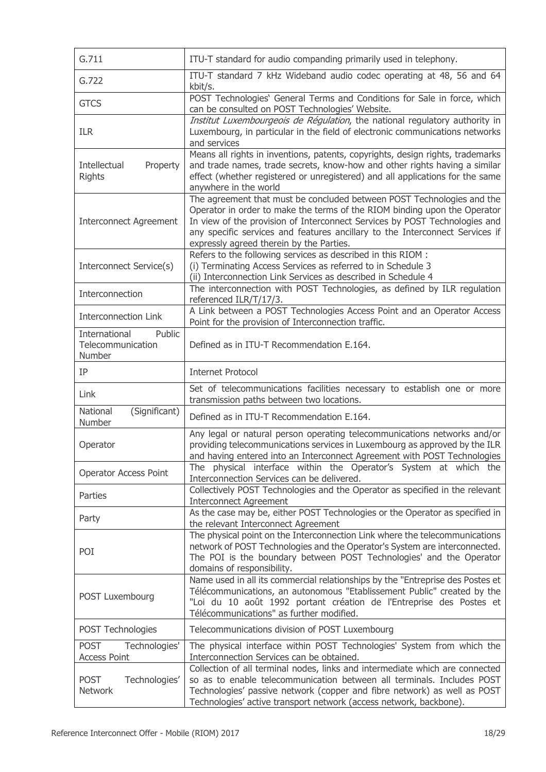| G.711                                                  | ITU-T standard for audio companding primarily used in telephony.                                                                                                                                                                                                                                                                                              |
|--------------------------------------------------------|---------------------------------------------------------------------------------------------------------------------------------------------------------------------------------------------------------------------------------------------------------------------------------------------------------------------------------------------------------------|
| G.722                                                  | ITU-T standard 7 kHz Wideband audio codec operating at 48, 56 and 64<br>kbit/s.                                                                                                                                                                                                                                                                               |
| <b>GTCS</b>                                            | POST Technologies' General Terms and Conditions for Sale in force, which<br>can be consulted on POST Technologies' Website.                                                                                                                                                                                                                                   |
| <b>ILR</b>                                             | Institut Luxembourgeois de Régulation, the national regulatory authority in<br>Luxembourg, in particular in the field of electronic communications networks<br>and services                                                                                                                                                                                   |
| Intellectual<br>Property<br><b>Rights</b>              | Means all rights in inventions, patents, copyrights, design rights, trademarks<br>and trade names, trade secrets, know-how and other rights having a similar<br>effect (whether registered or unregistered) and all applications for the same<br>anywhere in the world                                                                                        |
| <b>Interconnect Agreement</b>                          | The agreement that must be concluded between POST Technologies and the<br>Operator in order to make the terms of the RIOM binding upon the Operator<br>In view of the provision of Interconnect Services by POST Technologies and<br>any specific services and features ancillary to the Interconnect Services if<br>expressly agreed therein by the Parties. |
| Interconnect Service(s)                                | Refers to the following services as described in this RIOM :<br>(i) Terminating Access Services as referred to in Schedule 3<br>(ii) Interconnection Link Services as described in Schedule 4                                                                                                                                                                 |
| Interconnection                                        | The interconnection with POST Technologies, as defined by ILR regulation<br>referenced ILR/T/17/3.                                                                                                                                                                                                                                                            |
| <b>Interconnection Link</b>                            | A Link between a POST Technologies Access Point and an Operator Access<br>Point for the provision of Interconnection traffic.                                                                                                                                                                                                                                 |
| International<br>Public<br>Telecommunication<br>Number | Defined as in ITU-T Recommendation E.164.                                                                                                                                                                                                                                                                                                                     |
| IP                                                     | <b>Internet Protocol</b>                                                                                                                                                                                                                                                                                                                                      |
| Link                                                   | Set of telecommunications facilities necessary to establish one or more<br>transmission paths between two locations.                                                                                                                                                                                                                                          |
| National<br>(Significant)<br>Number                    | Defined as in ITU-T Recommendation E.164.                                                                                                                                                                                                                                                                                                                     |
| Operator                                               | Any legal or natural person operating telecommunications networks and/or<br>providing telecommunications services in Luxembourg as approved by the ILR<br>and having entered into an Interconnect Agreement with POST Technologies                                                                                                                            |
| <b>Operator Access Point</b>                           | The physical interface within the Operator's System at which the<br>Interconnection Services can be delivered.                                                                                                                                                                                                                                                |
| Parties                                                | Collectively POST Technologies and the Operator as specified in the relevant<br><b>Interconnect Agreement</b>                                                                                                                                                                                                                                                 |
| Party                                                  | As the case may be, either POST Technologies or the Operator as specified in<br>the relevant Interconnect Agreement                                                                                                                                                                                                                                           |
| POI                                                    | The physical point on the Interconnection Link where the telecommunications<br>network of POST Technologies and the Operator's System are interconnected.<br>The POI is the boundary between POST Technologies' and the Operator<br>domains of responsibility.                                                                                                |
| POST Luxembourg                                        | Name used in all its commercial relationships by the "Entreprise des Postes et<br>Télécommunications, an autonomous "Etablissement Public" created by the<br>"Loi du 10 août 1992 portant création de l'Entreprise des Postes et<br>Télécommunications" as further modified.                                                                                  |
| POST Technologies                                      | Telecommunications division of POST Luxembourg                                                                                                                                                                                                                                                                                                                |
| Technologies'<br><b>POST</b><br><b>Access Point</b>    | The physical interface within POST Technologies' System from which the<br>Interconnection Services can be obtained.                                                                                                                                                                                                                                           |
| <b>POST</b><br>Technologies'<br><b>Network</b>         | Collection of all terminal nodes, links and intermediate which are connected<br>so as to enable telecommunication between all terminals. Includes POST<br>Technologies' passive network (copper and fibre network) as well as POST<br>Technologies' active transport network (access network, backbone).                                                      |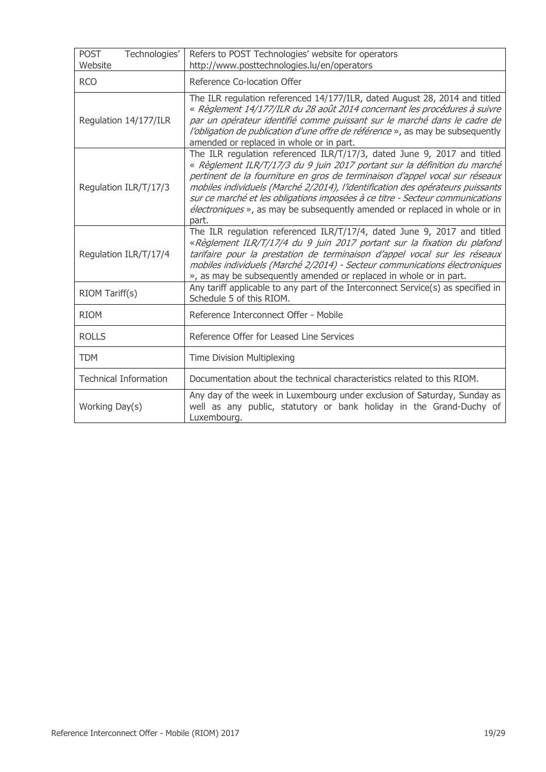| Technologies'<br><b>POST</b><br>Website | Refers to POST Technologies' website for operators<br>http://www.posttechnologies.lu/en/operators                                                                                                                                                                                                                                                                                                                                                                                            |
|-----------------------------------------|----------------------------------------------------------------------------------------------------------------------------------------------------------------------------------------------------------------------------------------------------------------------------------------------------------------------------------------------------------------------------------------------------------------------------------------------------------------------------------------------|
| <b>RCO</b>                              | Reference Co-location Offer                                                                                                                                                                                                                                                                                                                                                                                                                                                                  |
| Regulation 14/177/ILR                   | The ILR regulation referenced 14/177/ILR, dated August 28, 2014 and titled<br>« Règlement 14/177/ILR du 28 août 2014 concernant les procédures à suivre<br>par un opérateur identifié comme puissant sur le marché dans le cadre de<br>l'obligation de publication d'une offre de référence », as may be subsequently<br>amended or replaced in whole or in part.                                                                                                                            |
| Regulation ILR/T/17/3                   | The ILR regulation referenced ILR/T/17/3, dated June 9, 2017 and titled<br>« Règlement ILR/T/17/3 du 9 juin 2017 portant sur la définition du marché<br>pertinent de la fourniture en gros de terminaison d'appel vocal sur réseaux<br>mobiles individuels (Marché 2/2014), l'identification des opérateurs puissants<br>sur ce marché et les obligations imposées à ce titre - Secteur communications<br>électroniques», as may be subsequently amended or replaced in whole or in<br>part. |
| Regulation ILR/T/17/4                   | The ILR regulation referenced ILR/T/17/4, dated June 9, 2017 and titled<br>«Règlement ILR/T/17/4 du 9 juin 2017 portant sur la fixation du plafond<br>tarifaire pour la prestation de terminaison d'appel vocal sur les réseaux<br>mobiles individuels (Marché 2/2014) - Secteur communications électroniques<br>», as may be subsequently amended or replaced in whole or in part.                                                                                                          |
| RIOM Tariff(s)                          | Any tariff applicable to any part of the Interconnect Service(s) as specified in<br>Schedule 5 of this RIOM.                                                                                                                                                                                                                                                                                                                                                                                 |
| <b>RIOM</b>                             | Reference Interconnect Offer - Mobile                                                                                                                                                                                                                                                                                                                                                                                                                                                        |
| <b>ROLLS</b>                            | Reference Offer for Leased Line Services                                                                                                                                                                                                                                                                                                                                                                                                                                                     |
| <b>TDM</b>                              | <b>Time Division Multiplexing</b>                                                                                                                                                                                                                                                                                                                                                                                                                                                            |
| <b>Technical Information</b>            | Documentation about the technical characteristics related to this RIOM.                                                                                                                                                                                                                                                                                                                                                                                                                      |
| Working Day(s)                          | Any day of the week in Luxembourg under exclusion of Saturday, Sunday as<br>well as any public, statutory or bank holiday in the Grand-Duchy of<br>Luxembourg.                                                                                                                                                                                                                                                                                                                               |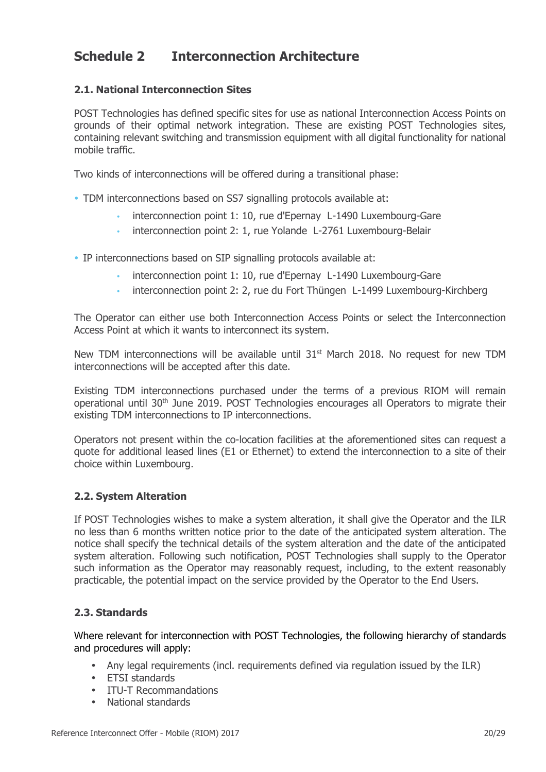## **Schedule 2 Interconnection Architecture**

## **2.1. National Interconnection Sites**

POST Technologies has defined specific sites for use as national Interconnection Access Points on grounds of their optimal network integration. These are existing POST Technologies sites, containing relevant switching and transmission equipment with all digital functionality for national mobile traffic.

Two kinds of interconnections will be offered during a transitional phase:

- TDM interconnections based on SS7 signalling protocols available at:
	- interconnection point 1: 10, rue d'Epernay L-1490 Luxembourg-Gare
	- interconnection point 2: 1, rue Yolande L-2761 Luxembourg-Belair
- IP interconnections based on SIP signalling protocols available at:
	- interconnection point 1: 10, rue d'Epernay L-1490 Luxembourg-Gare
	- interconnection point 2: 2, rue du Fort Thüngen L-1499 Luxembourg-Kirchberg

The Operator can either use both Interconnection Access Points or select the Interconnection Access Point at which it wants to interconnect its system.

New TDM interconnections will be available until 31<sup>st</sup> March 2018. No request for new TDM interconnections will be accepted after this date.

Existing TDM interconnections purchased under the terms of a previous RIOM will remain operational until 30<sup>th</sup> June 2019. POST Technologies encourages all Operators to migrate their existing TDM interconnections to IP interconnections.

Operators not present within the co-location facilities at the aforementioned sites can request a quote for additional leased lines (E1 or Ethernet) to extend the interconnection to a site of their choice within Luxembourg.

## **2.2. System Alteration**

If POST Technologies wishes to make a system alteration, it shall give the Operator and the ILR no less than 6 months written notice prior to the date of the anticipated system alteration. The notice shall specify the technical details of the system alteration and the date of the anticipated system alteration. Following such notification, POST Technologies shall supply to the Operator such information as the Operator may reasonably request, including, to the extent reasonably practicable, the potential impact on the service provided by the Operator to the End Users.

## **2.3. Standards**

Where relevant for interconnection with POST Technologies, the following hierarchy of standards and procedures will apply:

- Any legal requirements (incl. requirements defined via regulation issued by the ILR)
- ETSI standards
- ITU-T Recommandations
- National standards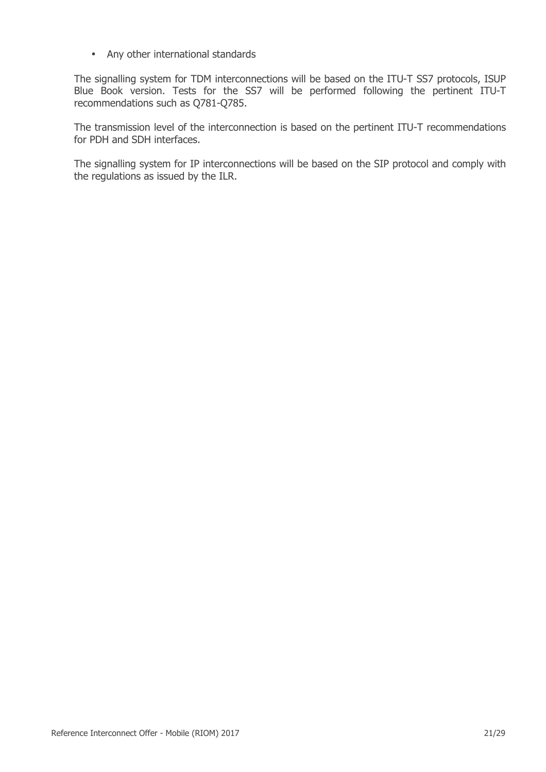• Any other international standards

The signalling system for TDM interconnections will be based on the ITU-T SS7 protocols, ISUP Blue Book version. Tests for the SS7 will be performed following the pertinent ITU-T recommendations such as Q781-Q785.

The transmission level of the interconnection is based on the pertinent ITU-T recommendations for PDH and SDH interfaces.

The signalling system for IP interconnections will be based on the SIP protocol and comply with the regulations as issued by the ILR.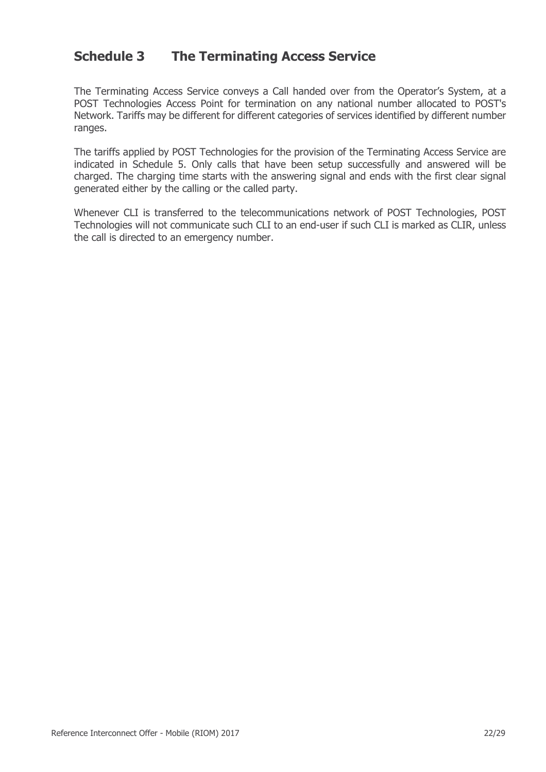## **Schedule 3 The Terminating Access Service**

The Terminating Access Service conveys a Call handed over from the Operator's System, at a POST Technologies Access Point for termination on any national number allocated to POST's Network. Tariffs may be different for different categories of services identified by different number ranges.

The tariffs applied by POST Technologies for the provision of the Terminating Access Service are indicated in Schedule 5. Only calls that have been setup successfully and answered will be charged. The charging time starts with the answering signal and ends with the first clear signal generated either by the calling or the called party.

Whenever CLI is transferred to the telecommunications network of POST Technologies, POST Technologies will not communicate such CLI to an end-user if such CLI is marked as CLIR, unless the call is directed to an emergency number.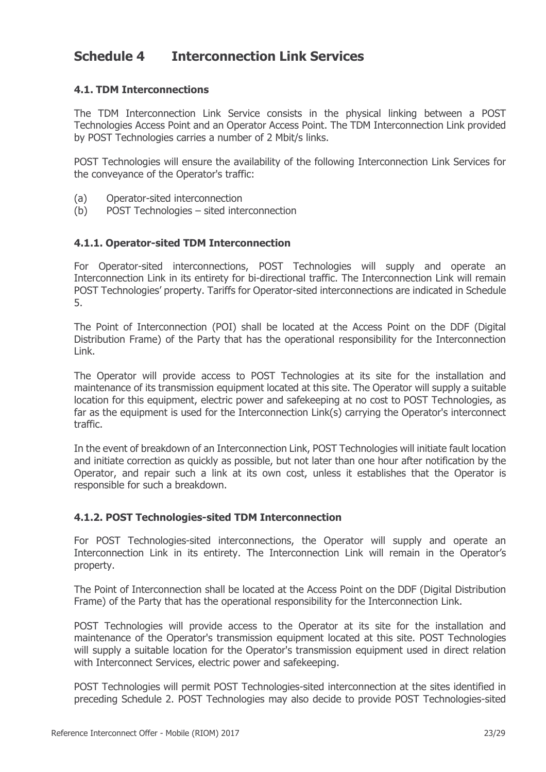## **Schedule 4 Interconnection Link Services**

## **4.1. TDM Interconnections**

The TDM Interconnection Link Service consists in the physical linking between a POST Technologies Access Point and an Operator Access Point. The TDM Interconnection Link provided by POST Technologies carries a number of 2 Mbit/s links.

POST Technologies will ensure the availability of the following Interconnection Link Services for the conveyance of the Operator's traffic:

- (a) Operator-sited interconnection
- (b) POST Technologies sited interconnection

#### **4.1.1. Operator-sited TDM Interconnection**

For Operator-sited interconnections, POST Technologies will supply and operate an Interconnection Link in its entirety for bi-directional traffic. The Interconnection Link will remain POST Technologies' property. Tariffs for Operator-sited interconnections are indicated in Schedule 5.

The Point of Interconnection (POI) shall be located at the Access Point on the DDF (Digital Distribution Frame) of the Party that has the operational responsibility for the Interconnection Link.

The Operator will provide access to POST Technologies at its site for the installation and maintenance of its transmission equipment located at this site. The Operator will supply a suitable location for this equipment, electric power and safekeeping at no cost to POST Technologies, as far as the equipment is used for the Interconnection Link(s) carrying the Operator's interconnect traffic.

In the event of breakdown of an Interconnection Link, POST Technologies will initiate fault location and initiate correction as quickly as possible, but not later than one hour after notification by the Operator, and repair such a link at its own cost, unless it establishes that the Operator is responsible for such a breakdown.

#### **4.1.2. POST Technologies-sited TDM Interconnection**

For POST Technologies-sited interconnections, the Operator will supply and operate an Interconnection Link in its entirety. The Interconnection Link will remain in the Operator's property.

The Point of Interconnection shall be located at the Access Point on the DDF (Digital Distribution Frame) of the Party that has the operational responsibility for the Interconnection Link.

POST Technologies will provide access to the Operator at its site for the installation and maintenance of the Operator's transmission equipment located at this site. POST Technologies will supply a suitable location for the Operator's transmission equipment used in direct relation with Interconnect Services, electric power and safekeeping.

POST Technologies will permit POST Technologies-sited interconnection at the sites identified in preceding Schedule 2. POST Technologies may also decide to provide POST Technologies-sited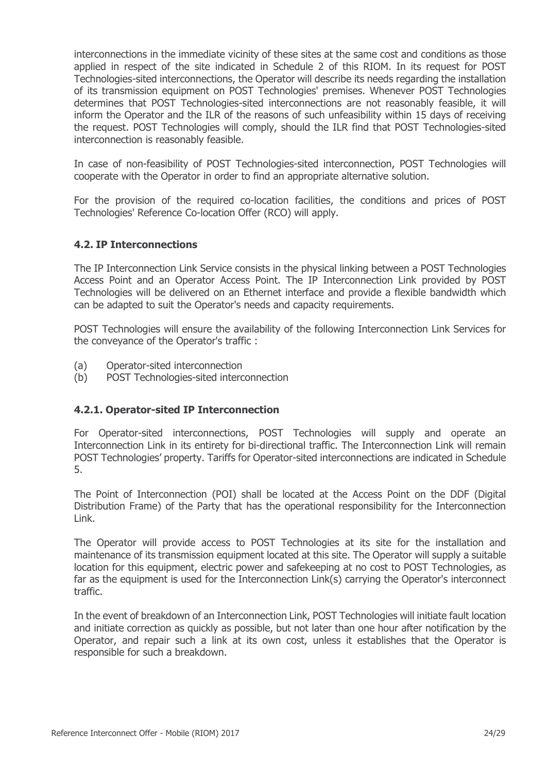interconnections in the immediate vicinity of these sites at the same cost and conditions as those applied in respect of the site indicated in Schedule 2 of this RIOM. In its request for POST Technologies-sited interconnections, the Operator will describe its needs regarding the installation of its transmission equipment on POST Technologies' premises. Whenever POST Technologies determines that POST Technologies-sited interconnections are not reasonably feasible, it will inform the Operator and the ILR of the reasons of such unfeasibility within 15 days of receiving the request. POST Technologies will comply, should the ILR find that POST Technologies-sited interconnection is reasonably feasible.

In case of non-feasibility of POST Technologies-sited interconnection, POST Technologies will cooperate with the Operator in order to find an appropriate alternative solution.

For the provision of the required co-location facilities, the conditions and prices of POST Technologies' Reference Co-location Offer (RCO) will apply.

#### **4.2. IP Interconnections**

The IP Interconnection Link Service consists in the physical linking between a POST Technologies Access Point and an Operator Access Point. The IP Interconnection Link provided by POST Technologies will be delivered on an Ethernet interface and provide a flexible bandwidth which can be adapted to suit the Operator's needs and capacity requirements.

POST Technologies will ensure the availability of the following Interconnection Link Services for the conveyance of the Operator's traffic :

- (a) Operator-sited interconnection
- (b) POST Technologies-sited interconnection

## **4.2.1. Operator-sited IP Interconnection**

For Operator-sited interconnections, POST Technologies will supply and operate an Interconnection Link in its entirety for bi-directional traffic. The Interconnection Link will remain POST Technologies' property. Tariffs for Operator-sited interconnections are indicated in Schedule 5.

The Point of Interconnection (POI) shall be located at the Access Point on the DDF (Digital Distribution Frame) of the Party that has the operational responsibility for the Interconnection Link.

The Operator will provide access to POST Technologies at its site for the installation and maintenance of its transmission equipment located at this site. The Operator will supply a suitable location for this equipment, electric power and safekeeping at no cost to POST Technologies, as far as the equipment is used for the Interconnection Link(s) carrying the Operator's interconnect traffic.

In the event of breakdown of an Interconnection Link, POST Technologies will initiate fault location and initiate correction as quickly as possible, but not later than one hour after notification by the Operator, and repair such a link at its own cost, unless it establishes that the Operator is responsible for such a breakdown.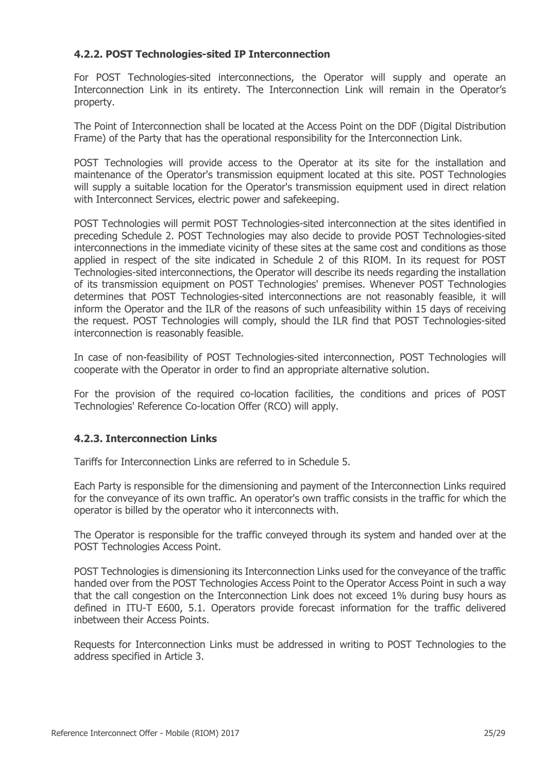## **4.2.2. POST Technologies-sited IP Interconnection**

For POST Technologies-sited interconnections, the Operator will supply and operate an Interconnection Link in its entirety. The Interconnection Link will remain in the Operator's property.

The Point of Interconnection shall be located at the Access Point on the DDF (Digital Distribution Frame) of the Party that has the operational responsibility for the Interconnection Link.

POST Technologies will provide access to the Operator at its site for the installation and maintenance of the Operator's transmission equipment located at this site. POST Technologies will supply a suitable location for the Operator's transmission equipment used in direct relation with Interconnect Services, electric power and safekeeping.

POST Technologies will permit POST Technologies-sited interconnection at the sites identified in preceding Schedule 2. POST Technologies may also decide to provide POST Technologies-sited interconnections in the immediate vicinity of these sites at the same cost and conditions as those applied in respect of the site indicated in Schedule 2 of this RIOM. In its request for POST Technologies-sited interconnections, the Operator will describe its needs regarding the installation of its transmission equipment on POST Technologies' premises. Whenever POST Technologies determines that POST Technologies-sited interconnections are not reasonably feasible, it will inform the Operator and the ILR of the reasons of such unfeasibility within 15 days of receiving the request. POST Technologies will comply, should the ILR find that POST Technologies-sited interconnection is reasonably feasible.

In case of non-feasibility of POST Technologies-sited interconnection, POST Technologies will cooperate with the Operator in order to find an appropriate alternative solution.

For the provision of the required co-location facilities, the conditions and prices of POST Technologies' Reference Co-location Offer (RCO) will apply.

## **4.2.3. Interconnection Links**

Tariffs for Interconnection Links are referred to in Schedule 5.

Each Party is responsible for the dimensioning and payment of the Interconnection Links required for the conveyance of its own traffic. An operator's own traffic consists in the traffic for which the operator is billed by the operator who it interconnects with.

The Operator is responsible for the traffic conveyed through its system and handed over at the POST Technologies Access Point.

POST Technologies is dimensioning its Interconnection Links used for the conveyance of the traffic handed over from the POST Technologies Access Point to the Operator Access Point in such a way that the call congestion on the Interconnection Link does not exceed 1% during busy hours as defined in ITU-T E600, 5.1. Operators provide forecast information for the traffic delivered inbetween their Access Points.

Requests for Interconnection Links must be addressed in writing to POST Technologies to the address specified in Article 3.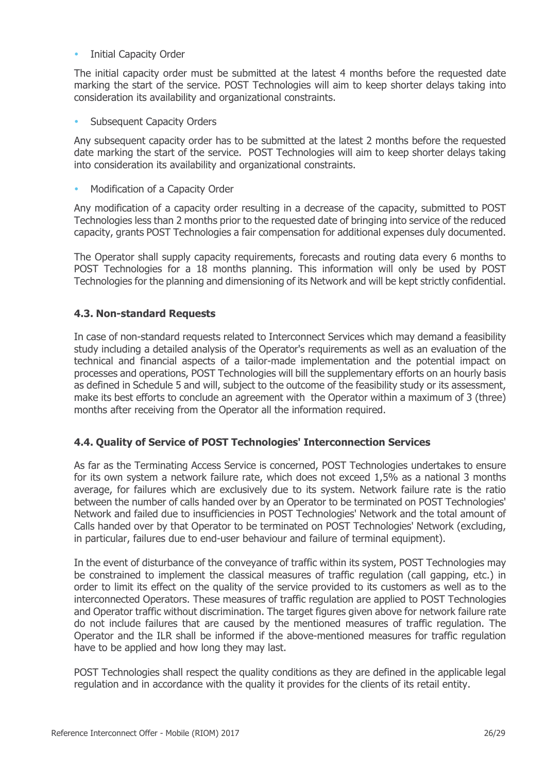## **•** Initial Capacity Order

The initial capacity order must be submitted at the latest 4 months before the requested date marking the start of the service. POST Technologies will aim to keep shorter delays taking into consideration its availability and organizational constraints.

Subsequent Capacity Orders

Any subsequent capacity order has to be submitted at the latest 2 months before the requested date marking the start of the service. POST Technologies will aim to keep shorter delays taking into consideration its availability and organizational constraints.

Modification of a Capacity Order

Any modification of a capacity order resulting in a decrease of the capacity, submitted to POST Technologies less than 2 months prior to the requested date of bringing into service of the reduced capacity, grants POST Technologies a fair compensation for additional expenses duly documented.

The Operator shall supply capacity requirements, forecasts and routing data every 6 months to POST Technologies for a 18 months planning. This information will only be used by POST Technologies for the planning and dimensioning of its Network and will be kept strictly confidential.

## **4.3. Non-standard Requests**

In case of non-standard requests related to Interconnect Services which may demand a feasibility study including a detailed analysis of the Operator's requirements as well as an evaluation of the technical and financial aspects of a tailor-made implementation and the potential impact on processes and operations, POST Technologies will bill the supplementary efforts on an hourly basis as defined in Schedule 5 and will, subject to the outcome of the feasibility study or its assessment, make its best efforts to conclude an agreement with the Operator within a maximum of 3 (three) months after receiving from the Operator all the information required.

## **4.4. Quality of Service of POST Technologies' Interconnection Services**

As far as the Terminating Access Service is concerned, POST Technologies undertakes to ensure for its own system a network failure rate, which does not exceed 1,5% as a national 3 months average, for failures which are exclusively due to its system. Network failure rate is the ratio between the number of calls handed over by an Operator to be terminated on POST Technologies' Network and failed due to insufficiencies in POST Technologies' Network and the total amount of Calls handed over by that Operator to be terminated on POST Technologies' Network (excluding, in particular, failures due to end-user behaviour and failure of terminal equipment).

In the event of disturbance of the conveyance of traffic within its system, POST Technologies may be constrained to implement the classical measures of traffic regulation (call gapping, etc.) in order to limit its effect on the quality of the service provided to its customers as well as to the interconnected Operators. These measures of traffic regulation are applied to POST Technologies and Operator traffic without discrimination. The target figures given above for network failure rate do not include failures that are caused by the mentioned measures of traffic regulation. The Operator and the ILR shall be informed if the above-mentioned measures for traffic regulation have to be applied and how long they may last.

POST Technologies shall respect the quality conditions as they are defined in the applicable legal regulation and in accordance with the quality it provides for the clients of its retail entity.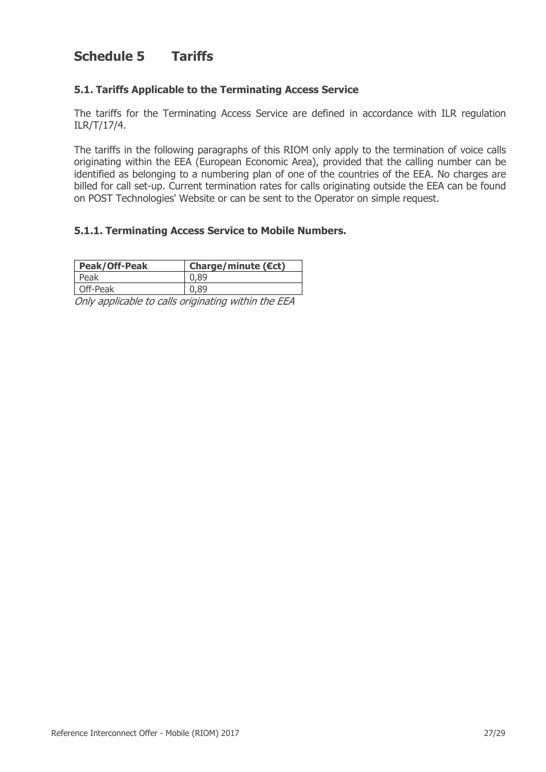## **Schedule 5 Tariffs**

## **5.1. Tariffs Applicable to the Terminating Access Service**

The tariffs for the Terminating Access Service are defined in accordance with ILR regulation ILR/T/17/4.

The tariffs in the following paragraphs of this RIOM only apply to the termination of voice calls originating within the EEA (European Economic Area), provided that the calling number can be identified as belonging to a numbering plan of one of the countries of the EEA. No charges are billed for call set-up. Current termination rates for calls originating outside the EEA can be found on POST Technologies' Website or can be sent to the Operator on simple request.

## **5.1.1. Terminating Access Service to Mobile Numbers.**

| <b>Peak/Off-Peak</b> | Charge/minute ( $\epsilon$ ct) |  |
|----------------------|--------------------------------|--|
| Peak                 | 0.89                           |  |
| Off-Peak             | 0.89                           |  |

Only applicable to calls originating within the EEA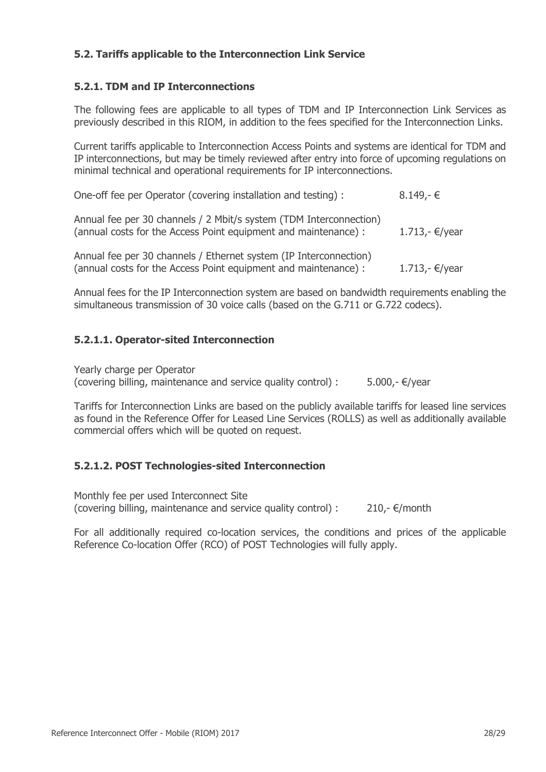## **5.2. Tariffs applicable to the Interconnection Link Service**

## **5.2.1. TDM and IP Interconnections**

The following fees are applicable to all types of TDM and IP Interconnection Link Services as previously described in this RIOM, in addition to the fees specified for the Interconnection Links.

Current tariffs applicable to Interconnection Access Points and systems are identical for TDM and IP interconnections, but may be timely reviewed after entry into force of upcoming regulations on minimal technical and operational requirements for IP interconnections.

| One-off fee per Operator (covering installation and testing) :                                                                        | $8.149,-€$     |
|---------------------------------------------------------------------------------------------------------------------------------------|----------------|
| Annual fee per 30 channels / 2 Mbit/s system (TDM Interconnection)<br>(annual costs for the Access Point equipment and maintenance) : | 1.713,- €/year |
| Annual fee per 30 channels / Ethernet system (IP Interconnection)<br>(annual costs for the Access Point equipment and maintenance) :  | 1.713,- €/year |

Annual fees for the IP Interconnection system are based on bandwidth requirements enabling the simultaneous transmission of 30 voice calls (based on the G.711 or G.722 codecs).

## **5.2.1.1. Operator-sited Interconnection**

Yearly charge per Operator

(covering billing, maintenance and service quality control) :  $5.000, -\frac{2}{5}$  s

Tariffs for Interconnection Links are based on the publicly available tariffs for leased line services as found in the Reference Offer for Leased Line Services (ROLLS) as well as additionally available commercial offers which will be quoted on request.

## **5.2.1.2. POST Technologies-sited Interconnection**

Monthly fee per used Interconnect Site (covering billing, maintenance and service quality control) :  $210, -\epsilon$ /month

For all additionally required co-location services, the conditions and prices of the applicable Reference Co-location Offer (RCO) of POST Technologies will fully apply.